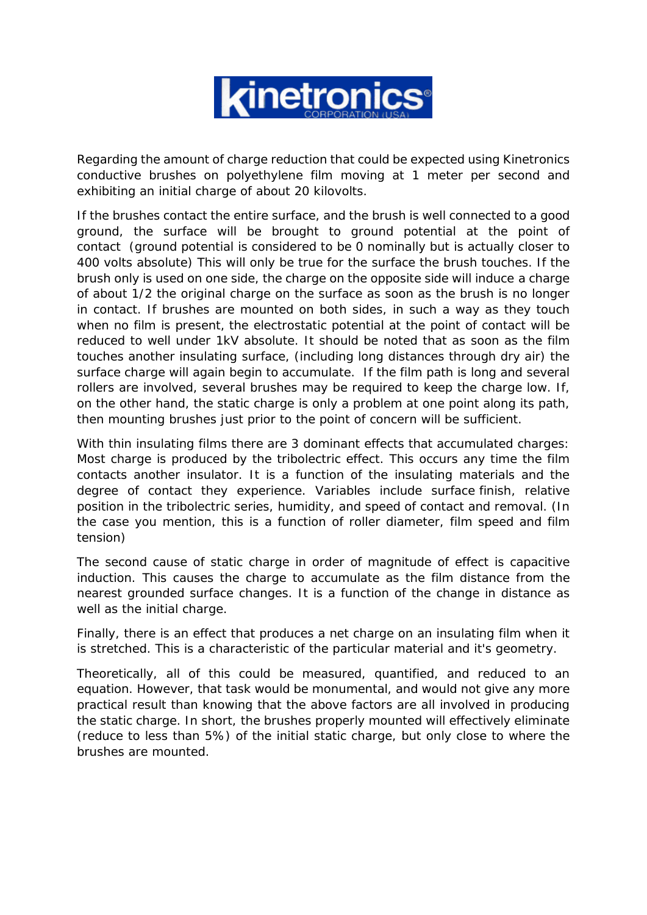

Regarding the amount of charge reduction that could be expected using Kinetronics conductive brushes on polyethylene film moving at 1 meter per second and exhibiting an initial charge of about 20 kilovolts.

If the brushes contact the entire surface, and the brush is well connected to a good ground, the surface will be brought to ground potential at the point of contact (ground potential is considered to be 0 nominally but is actually closer to 400 volts absolute) This will only be true for the surface the brush touches. If the brush only is used on one side, the charge on the opposite side will induce a charge of about 1/2 the original charge on the surface as soon as the brush is no longer in contact. If brushes are mounted on both sides, in such a way as they touch when no film is present, the electrostatic potential at the point of contact will be reduced to well under 1kV absolute. It should be noted that as soon as the film touches another insulating surface, (including long distances through dry air) the surface charge will again begin to accumulate. If the film path is long and several rollers are involved, several brushes may be required to keep the charge low. If, on the other hand, the static charge is only a problem at one point along its path, then mounting brushes just prior to the point of concern will be sufficient.

With thin insulating films there are 3 dominant effects that accumulated charges: Most charge is produced by the tribolectric effect. This occurs any time the film contacts another insulator. It is a function of the insulating materials and the degree of contact they experience. Variables include surface finish, relative position in the tribolectric series, humidity, and speed of contact and removal. (In the case you mention, this is a function of roller diameter, film speed and film tension)

The second cause of static charge in order of magnitude of effect is capacitive induction. This causes the charge to accumulate as the film distance from the nearest grounded surface changes. It is a function of the change in distance as well as the initial charge.

Finally, there is an effect that produces a net charge on an insulating film when it is stretched. This is a characteristic of the particular material and it's geometry.

Theoretically, all of this could be measured, quantified, and reduced to an equation. However, that task would be monumental, and would not give any more practical result than knowing that the above factors are all involved in producing the static charge. In short, the brushes properly mounted will effectively eliminate (reduce to less than 5%) of the initial static charge, but only close to where the brushes are mounted.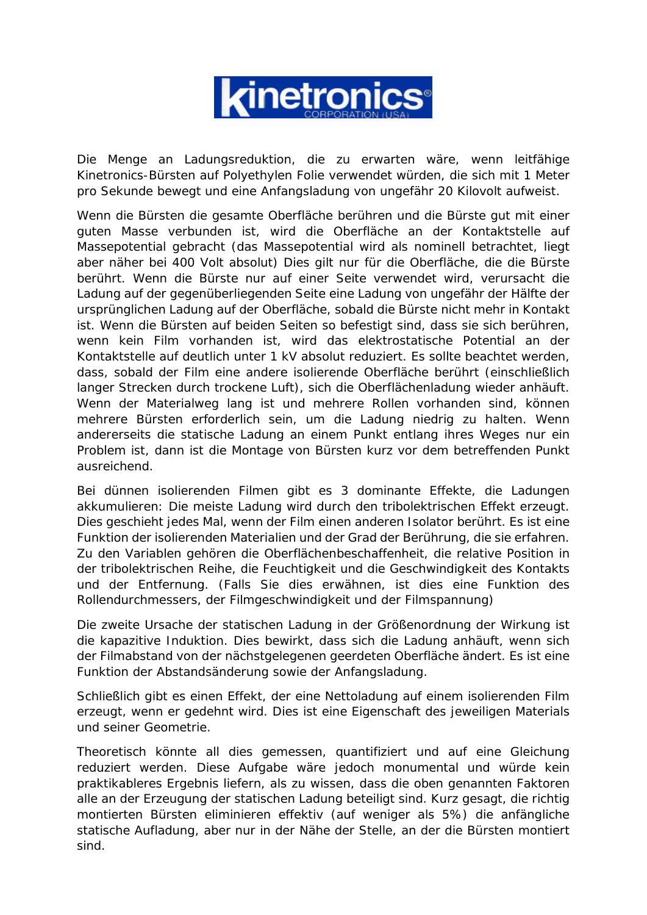

Die Menge an Ladungsreduktion, die zu erwarten wäre, wenn leitfähige Kinetronics-Bürsten auf Polyethylen Folie verwendet würden, die sich mit 1 Meter pro Sekunde bewegt und eine Anfangsladung von ungefähr 20 Kilovolt aufweist.

Wenn die Bürsten die gesamte Oberfläche berühren und die Bürste gut mit einer guten Masse verbunden ist, wird die Oberfläche an der Kontaktstelle auf Massepotential gebracht (das Massepotential wird als nominell betrachtet, liegt aber näher bei 400 Volt absolut) Dies gilt nur für die Oberfläche, die die Bürste berührt. Wenn die Bürste nur auf einer Seite verwendet wird, verursacht die Ladung auf der gegenüberliegenden Seite eine Ladung von ungefähr der Hälfte der ursprünglichen Ladung auf der Oberfläche, sobald die Bürste nicht mehr in Kontakt ist. Wenn die Bürsten auf beiden Seiten so befestigt sind, dass sie sich berühren, wenn kein Film vorhanden ist, wird das elektrostatische Potential an der Kontaktstelle auf deutlich unter 1 kV absolut reduziert. Es sollte beachtet werden, dass, sobald der Film eine andere isolierende Oberfläche berührt (einschließlich langer Strecken durch trockene Luft), sich die Oberflächenladung wieder anhäuft. Wenn der Materialweg lang ist und mehrere Rollen vorhanden sind, können mehrere Bürsten erforderlich sein, um die Ladung niedrig zu halten. Wenn andererseits die statische Ladung an einem Punkt entlang ihres Weges nur ein Problem ist, dann ist die Montage von Bürsten kurz vor dem betreffenden Punkt ausreichend.

Bei dünnen isolierenden Filmen gibt es 3 dominante Effekte, die Ladungen akkumulieren: Die meiste Ladung wird durch den tribolektrischen Effekt erzeugt. Dies geschieht jedes Mal, wenn der Film einen anderen Isolator berührt. Es ist eine Funktion der isolierenden Materialien und der Grad der Berührung, die sie erfahren. Zu den Variablen gehören die Oberflächenbeschaffenheit, die relative Position in der tribolektrischen Reihe, die Feuchtigkeit und die Geschwindigkeit des Kontakts und der Entfernung. (Falls Sie dies erwähnen, ist dies eine Funktion des Rollendurchmessers, der Filmgeschwindigkeit und der Filmspannung)

Die zweite Ursache der statischen Ladung in der Größenordnung der Wirkung ist die kapazitive Induktion. Dies bewirkt, dass sich die Ladung anhäuft, wenn sich der Filmabstand von der nächstgelegenen geerdeten Oberfläche ändert. Es ist eine Funktion der Abstandsänderung sowie der Anfangsladung.

Schließlich gibt es einen Effekt, der eine Nettoladung auf einem isolierenden Film erzeugt, wenn er gedehnt wird. Dies ist eine Eigenschaft des jeweiligen Materials und seiner Geometrie.

Theoretisch könnte all dies gemessen, quantifiziert und auf eine Gleichung reduziert werden. Diese Aufgabe wäre jedoch monumental und würde kein praktikableres Ergebnis liefern, als zu wissen, dass die oben genannten Faktoren alle an der Erzeugung der statischen Ladung beteiligt sind. Kurz gesagt, die richtig montierten Bürsten eliminieren effektiv (auf weniger als 5%) die anfängliche statische Aufladung, aber nur in der Nähe der Stelle, an der die Bürsten montiert sind.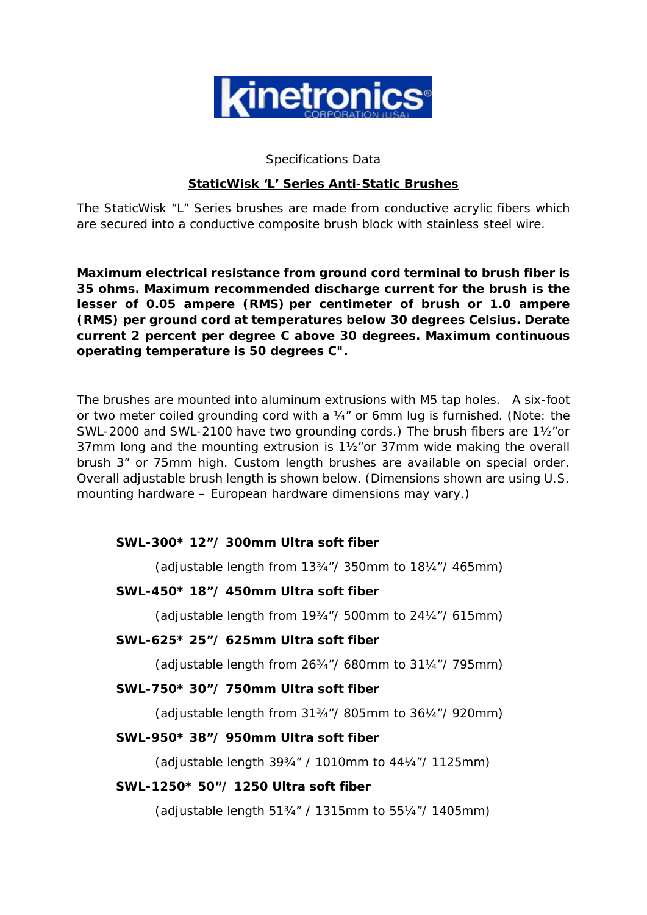

#### Specifications Data

#### **StaticWisk 'L' Series Anti-Static Brushes**

The StaticWisk "L" Series brushes are made from conductive acrylic fibers which are secured into a conductive composite brush block with stainless steel wire.

**Maximum electrical resistance from ground cord terminal to brush fiber is 35 ohms. Maximum recommended discharge current for the brush is the lesser of 0.05 ampere (RMS) per centimeter of brush or 1.0 ampere (RMS) per ground cord at temperatures below 30 degrees Celsius. Derate current 2 percent per degree C above 30 degrees. Maximum continuous operating temperature is 50 degrees C".** 

The brushes are mounted into aluminum extrusions with M5 tap holes. A six-foot or two meter coiled grounding cord with a ¼" or 6mm lug is furnished. (Note: the SWL-2000 and SWL-2100 have two grounding cords.) The brush fibers are 1½"or 37mm long and the mounting extrusion is 1½"or 37mm wide making the overall brush 3" or 75mm high. Custom length brushes are available on special order. Overall adjustable brush length is shown below. (Dimensions shown are using U.S. mounting hardware – European hardware dimensions may vary.)

# *SWL-300\* 12"/ 300mm Ultra soft fiber*

(adjustable length from 13¾"/ 350mm to 18¼"/ 465mm)

# *SWL-450\* 18"/ 450mm Ultra soft fiber*

(adjustable length from 19¾"/ 500mm to 24¼"/ 615mm)

#### *SWL-625\* 25"/ 625mm Ultra soft fiber*

(adjustable length from 26¾"/ 680mm to 31¼"/ 795mm)

#### *SWL-750\* 30"/ 750mm Ultra soft fiber*

(adjustable length from 31¾"/ 805mm to 36¼"/ 920mm)

#### *SWL-950\* 38"/ 950mm Ultra soft fiber*

(adjustable length 39¾" / 1010mm to 44¼"/ 1125mm)

#### *SWL-1250\* 50"/ 1250 Ultra soft fiber*

(adjustable length 51¾" / 1315mm to 55¼"/ 1405mm)